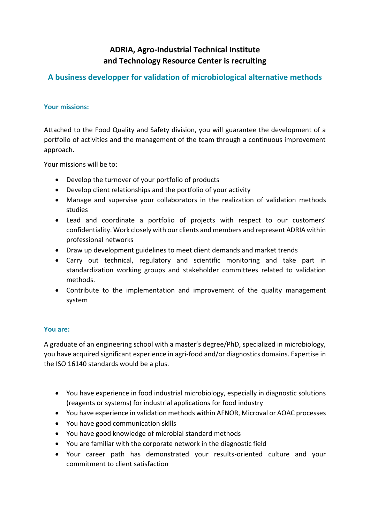# **ADRIA, Agro-Industrial Technical Institute and Technology Resource Center is recruiting**

# **A business developper for validation of microbiological alternative methods**

## **Your missions:**

Attached to the Food Quality and Safety division, you will guarantee the development of a portfolio of activities and the management of the team through a continuous improvement approach.

Your missions will be to:

- Develop the turnover of your portfolio of products
- Develop client relationships and the portfolio of your activity
- Manage and supervise your collaborators in the realization of validation methods studies
- Lead and coordinate a portfolio of projects with respect to our customers' confidentiality. Work closely with our clients and members and represent ADRIA within professional networks
- Draw up development guidelines to meet client demands and market trends
- Carry out technical, regulatory and scientific monitoring and take part in standardization working groups and stakeholder committees related to validation methods.
- Contribute to the implementation and improvement of the quality management system

### **You are:**

A graduate of an engineering school with a master's degree/PhD, specialized in microbiology, you have acquired significant experience in agri-food and/or diagnostics domains. Expertise in the ISO 16140 standards would be a plus.

- You have experience in food industrial microbiology, especially in diagnostic solutions (reagents or systems) for industrial applications for food industry
- You have experience in validation methods within AFNOR, Microval or AOAC processes
- You have good communication skills
- You have good knowledge of microbial standard methods
- You are familiar with the corporate network in the diagnostic field
- Your career path has demonstrated your results-oriented culture and your commitment to client satisfaction